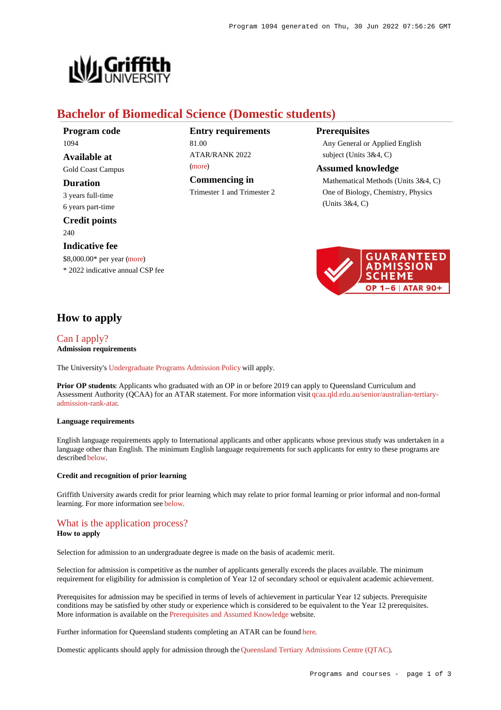

# **Bachelor of Biomedical Science (Domestic students)**

**Program code** 1094 **Available at**

Gold Coast Campus

### **Duration**

3 years full-time 6 years part-time

**Credit points** 240

### **Indicative fee**

\$8,000.00\* per year [\(more](https://www148.griffith.edu.au/programs-courses/Program/1094/Overview/Domestic#fees)) \* 2022 indicative annual CSP fee

## **Entry requirements** 81.00 ATAR/RANK 2022

[\(more](https://www148.griffith.edu.au/programs-courses/Program/1094/HowToApply/Domestic#tac-entry-requirements))

**Commencing in**

Trimester 1 and Trimester 2

## **Prerequisites**

Any General or Applied English subject (Units 3&4, C)

#### **Assumed knowledge**

Mathematical Methods (Units 3&4, C) One of Biology, Chemistry, Physics (Units 3&4, C)



## **How to apply**

## [Can I apply?](https://www148.griffith.edu.au/programs-courses/Program/1094/HowToApply/Domestic#can-i-apply) **Admission requirements**

The University's [Undergraduate Programs Admission Policy](https://sharepointpubstor.blob.core.windows.net/policylibrary-prod/Undergraduate Programs Admission Policy.pdf) will apply.

**Prior OP students:** Applicants who graduated with an OP in or before 2019 can apply to Queensland Curriculum and Assessment Authority (QCAA) for an ATAR statement. For more information visit [qcaa.qld.edu.au/senior/australian-tertiary](http://qcaa.qld.edu.au/senior/australian-tertiary-admission-rank-atar)[admission-rank-atar](http://qcaa.qld.edu.au/senior/australian-tertiary-admission-rank-atar).

### **Language requirements**

English language requirements apply to International applicants and other applicants whose previous study was undertaken in a language other than English. The minimum English language requirements for such applicants for entry to these programs are described [below](https://www148.griffith.edu.au/programs-courses/Program/1094/HowToApply/Domestic#language).

### **Credit and recognition of prior learning**

Griffith University awards credit for prior learning which may relate to prior formal learning or prior informal and non-formal learning. For more information see [below](https://www148.griffith.edu.au/programs-courses/Program/1094/HowToApply/Domestic#credit).

## [What is the application process?](https://www148.griffith.edu.au/programs-courses/Program/1094/HowToApply/Domestic#process)

### **How to apply**

Selection for admission to an undergraduate degree is made on the basis of academic merit.

Selection for admission is competitive as the number of applicants generally exceeds the places available. The minimum requirement for eligibility for admission is completion of Year 12 of secondary school or equivalent academic achievement.

Prerequisites for admission may be specified in terms of levels of achievement in particular Year 12 subjects. Prerequisite conditions may be satisfied by other study or experience which is considered to be equivalent to the Year 12 prerequisites. More information is available on the [Prerequisites and Assumed Knowledge](https://www.griffith.edu.au/apply/prerequisites-assumed-knowledge) website.

Further information for Queensland students completing an ATAR can be found [here](https://www.griffith.edu.au/apply/undergraduate-study/high-school-students/admission-in-2021).

Domestic applicants should apply for admission through the [Queensland Tertiary Admissions Centre \(QTAC\)](http://www.qtac.edu.au/).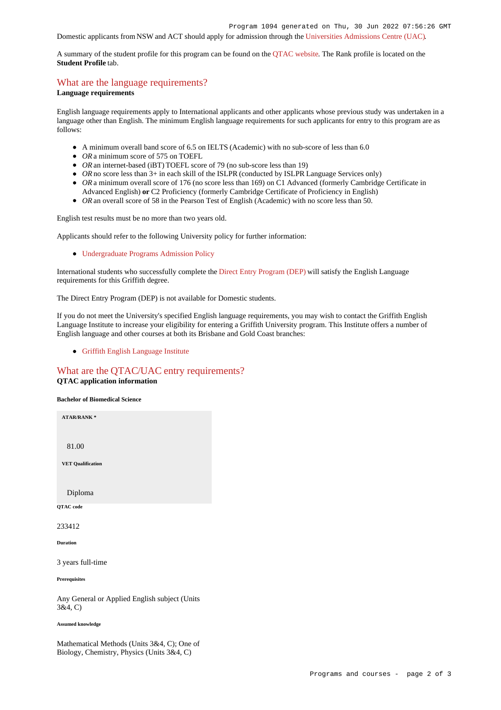## Domestic applicants from NSW and ACT should apply for admission through the [Universities Admissions Centre \(UAC\)](http://www.uac.edu.au/).

A summary of the student profile for this program can be found on the [QTAC website](https://www.qtac.edu.au/courses/listing/bachelor-of-biomedical-science-233412/). The Rank profile is located on the **Student Profile** tab.

## [What are the language requirements?](https://www148.griffith.edu.au/programs-courses/Program/1094/HowToApply/Domestic#language)

#### **Language requirements**

English language requirements apply to International applicants and other applicants whose previous study was undertaken in a language other than English. The minimum English language requirements for such applicants for entry to this program are as follows:

- A minimum overall band score of 6.5 on IELTS (Academic) with no sub-score of less than 6.0
- *OR* a minimum score of 575 on TOEFL
- *OR* an internet-based (iBT) TOEFL score of 79 (no sub-score less than 19)
- OR no score less than 3+ in each skill of the ISLPR (conducted by ISLPR Language Services only)
- OR a minimum overall score of 176 (no score less than 169) on C1 Advanced (formerly Cambridge Certificate in Advanced English) **or** C2 Proficiency (formerly Cambridge Certificate of Proficiency in English)
- OR an overall score of 58 in the Pearson Test of English (Academic) with no score less than 50.

English test results must be no more than two years old.

Applicants should refer to the following University policy for further information:

[Undergraduate Programs Admission Policy](http://policies.griffith.edu.au/pdf/Undergraduate Programs Admission Policy.pdf)

International students who successfully complete the [Direct Entry Program \(DEP\)](https://www.griffith.edu.au/international/griffith-english-language-institute/courses/direct-entry-program) will satisfy the English Language requirements for this Griffith degree.

The Direct Entry Program (DEP) is not available for Domestic students.

If you do not meet the University's specified English language requirements, you may wish to contact the Griffith English Language Institute to increase your eligibility for entering a Griffith University program. This Institute offers a number of English language and other courses at both its Brisbane and Gold Coast branches:

[Griffith English Language Institute](https://www.griffith.edu.au/international/griffith-english-language-institute)

### [What are the QTAC/UAC entry requirements?](https://www148.griffith.edu.au/programs-courses/Program/1094/HowToApply/Domestic#tac-entry-requirements) **QTAC application information**

**Bachelor of Biomedical Science**



Any General or Applied English subject (Units 3&4, C)

#### **Assumed knowledge**

Mathematical Methods (Units 3&4, C); One of Biology, Chemistry, Physics (Units 3&4, C)